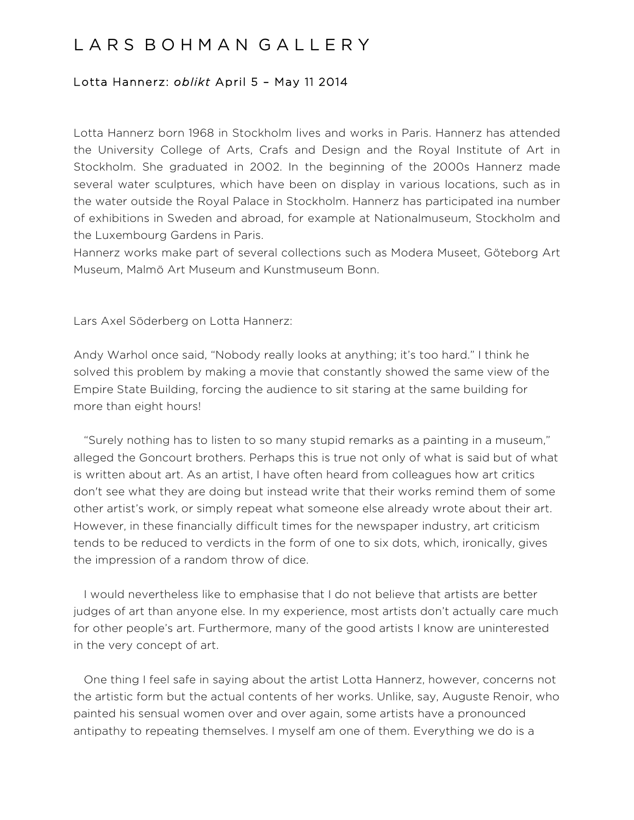## L A R S B O H M A N G A L L E R Y

## Lotta Hannerz: *oblikt* April 5 – May 11 2014

Lotta Hannerz born 1968 in Stockholm lives and works in Paris. Hannerz has attended the University College of Arts, Crafs and Design and the Royal Institute of Art in Stockholm. She graduated in 2002. In the beginning of the 2000s Hannerz made several water sculptures, which have been on display in various locations, such as in the water outside the Royal Palace in Stockholm. Hannerz has participated ina number of exhibitions in Sweden and abroad, for example at Nationalmuseum, Stockholm and the Luxembourg Gardens in Paris.

Hannerz works make part of several collections such as Modera Museet, Göteborg Art Museum, Malmö Art Museum and Kunstmuseum Bonn.

Lars Axel Söderberg on Lotta Hannerz:

Andy Warhol once said, "Nobody really looks at anything; it's too hard." I think he solved this problem by making a movie that constantly showed the same view of the Empire State Building, forcing the audience to sit staring at the same building for more than eight hours!

 "Surely nothing has to listen to so many stupid remarks as a painting in a museum," alleged the Goncourt brothers. Perhaps this is true not only of what is said but of what is written about art. As an artist, I have often heard from colleagues how art critics don't see what they are doing but instead write that their works remind them of some other artist's work, or simply repeat what someone else already wrote about their art. However, in these financially difficult times for the newspaper industry, art criticism tends to be reduced to verdicts in the form of one to six dots, which, ironically, gives the impression of a random throw of dice.

 I would nevertheless like to emphasise that I do not believe that artists are better judges of art than anyone else. In my experience, most artists don't actually care much for other people's art. Furthermore, many of the good artists I know are uninterested in the very concept of art.

 One thing I feel safe in saying about the artist Lotta Hannerz, however, concerns not the artistic form but the actual contents of her works. Unlike, say, Auguste Renoir, who painted his sensual women over and over again, some artists have a pronounced antipathy to repeating themselves. I myself am one of them. Everything we do is a